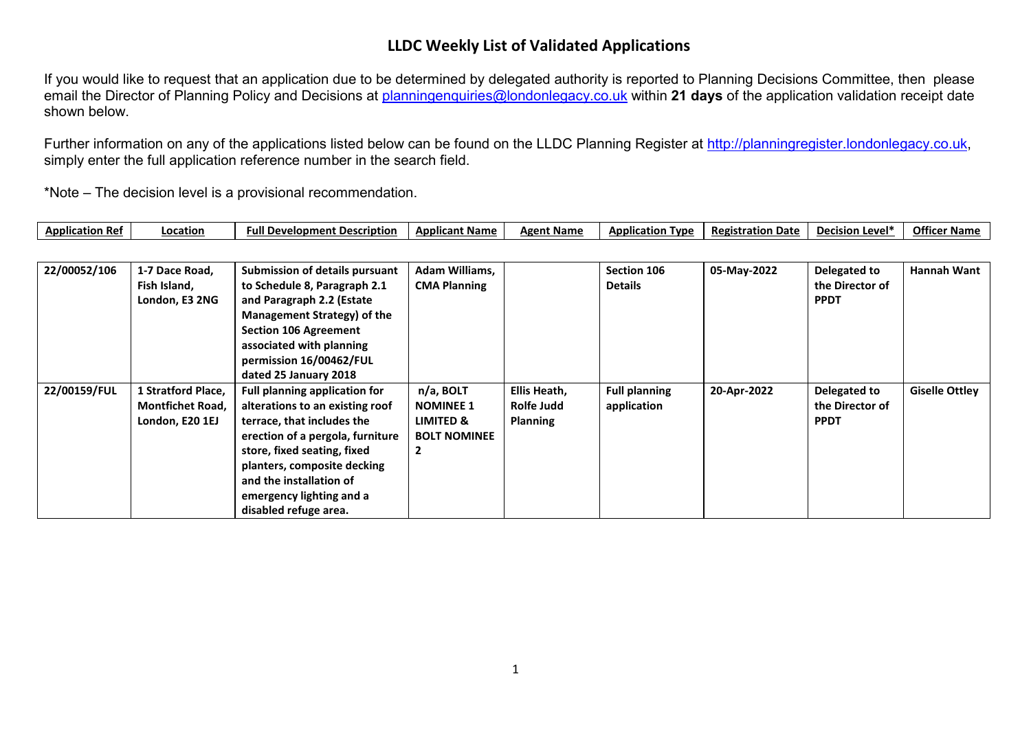## **LLDC Weekly List of Validated Applications**

If you would like to request that an application due to be determined by delegated authority is reported to Planning Decisions Committee, then please email the Director of Planning Policy and Decisions at [planningenquiries@londonlegacy.co.uk](mailto:planningenquiries@londonlegacy.co.uk) within **21 days** of the application validation receipt date shown below.

Further information on any of the applications listed below can be found on the LLDC Planning Register at [http://planningregister.londonlegacy.co.uk,](http://planningregister.londonlegacy.co.uk/) simply enter the full application reference number in the search field.

\*Note – The decision level is a provisional recommendation.

| Applicatio.<br>າ Ref | Location | De<br>velopment Description<br>. . | Applicant Name | <b>Name</b><br>Agent | <b>Application</b><br><b>T</b> vpe | Date<br><b>Registration</b><br> | .∟Level<br>De.<br>rısır | Offic<br>* Name |
|----------------------|----------|------------------------------------|----------------|----------------------|------------------------------------|---------------------------------|-------------------------|-----------------|
|----------------------|----------|------------------------------------|----------------|----------------------|------------------------------------|---------------------------------|-------------------------|-----------------|

| 22/00052/106 | 1-7 Dace Road,          | <b>Submission of details pursuant</b> | Adam Williams,      |                 | Section 106          | 05-May-2022 | Delegated to    | <b>Hannah Want</b>    |
|--------------|-------------------------|---------------------------------------|---------------------|-----------------|----------------------|-------------|-----------------|-----------------------|
|              | Fish Island,            | to Schedule 8, Paragraph 2.1          | <b>CMA Planning</b> |                 | <b>Details</b>       |             | the Director of |                       |
|              | London, E3 2NG          | and Paragraph 2.2 (Estate             |                     |                 |                      |             | <b>PPDT</b>     |                       |
|              |                         | Management Strategy) of the           |                     |                 |                      |             |                 |                       |
|              |                         | <b>Section 106 Agreement</b>          |                     |                 |                      |             |                 |                       |
|              |                         | associated with planning              |                     |                 |                      |             |                 |                       |
|              |                         | permission 16/00462/FUL               |                     |                 |                      |             |                 |                       |
|              |                         | dated 25 January 2018                 |                     |                 |                      |             |                 |                       |
| 22/00159/FUL | 1 Stratford Place,      | <b>Full planning application for</b>  | n/a, BOLT           | Ellis Heath,    | <b>Full planning</b> | 20-Apr-2022 | Delegated to    | <b>Giselle Ottley</b> |
|              | <b>Montfichet Road,</b> | alterations to an existing roof       | <b>NOMINEE 1</b>    | Rolfe Judd      | application          |             | the Director of |                       |
|              | London, E20 1EJ         | terrace, that includes the            | LIMITED &           | <b>Planning</b> |                      |             | <b>PPDT</b>     |                       |
|              |                         | erection of a pergola, furniture      | <b>BOLT NOMINEE</b> |                 |                      |             |                 |                       |
|              |                         | store, fixed seating, fixed           | 2                   |                 |                      |             |                 |                       |
|              |                         | planters, composite decking           |                     |                 |                      |             |                 |                       |
|              |                         | and the installation of               |                     |                 |                      |             |                 |                       |
|              |                         | emergency lighting and a              |                     |                 |                      |             |                 |                       |
|              |                         | disabled refuge area.                 |                     |                 |                      |             |                 |                       |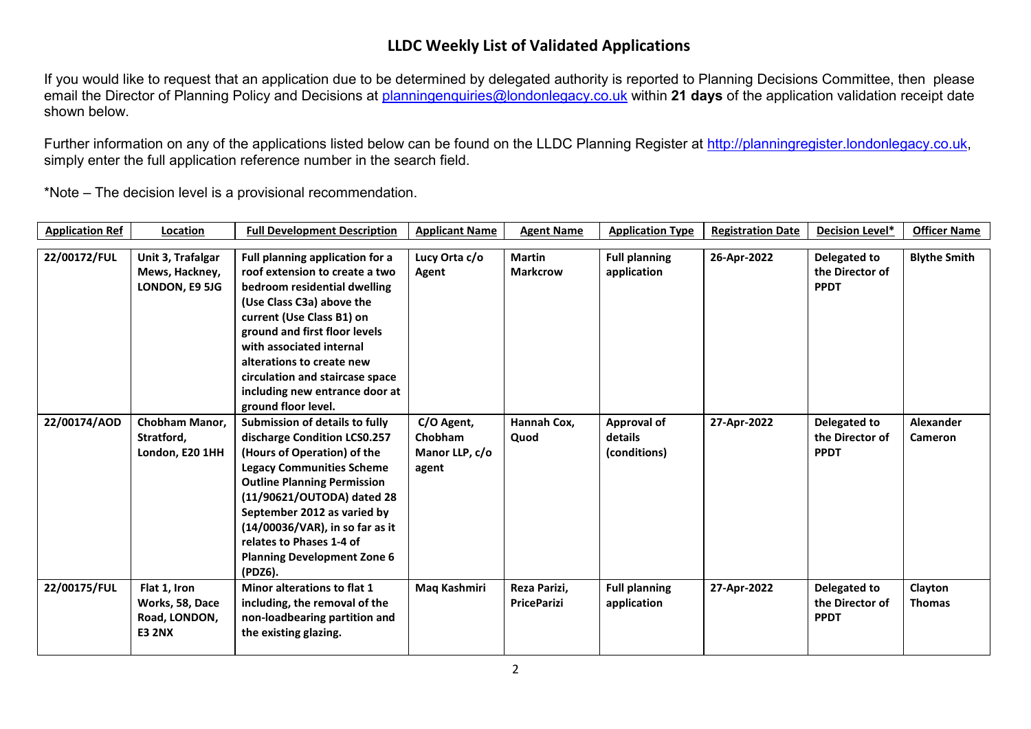## **LLDC Weekly List of Validated Applications**

If you would like to request that an application due to be determined by delegated authority is reported to Planning Decisions Committee, then please email the Director of Planning Policy and Decisions at [planningenquiries@londonlegacy.co.uk](mailto:planningenquiries@londonlegacy.co.uk) within **21 days** of the application validation receipt date shown below.

Further information on any of the applications listed below can be found on the LLDC Planning Register at [http://planningregister.londonlegacy.co.uk,](http://planningregister.londonlegacy.co.uk/) simply enter the full application reference number in the search field.

\*Note – The decision level is a provisional recommendation.

| <b>Application Ref</b> | Location          | <b>Full Development Description</b> | <b>Applicant Name</b> | <b>Agent Name</b>  | <b>Application Type</b> | <b>Registration Date</b> | Decision Level* | <b>Officer Name</b> |
|------------------------|-------------------|-------------------------------------|-----------------------|--------------------|-------------------------|--------------------------|-----------------|---------------------|
|                        |                   |                                     |                       |                    |                         |                          |                 |                     |
| 22/00172/FUL           | Unit 3, Trafalgar | Full planning application for a     | Lucy Orta c/o         | <b>Martin</b>      | <b>Full planning</b>    | 26-Apr-2022              | Delegated to    | <b>Blythe Smith</b> |
|                        | Mews, Hackney,    | roof extension to create a two      | Agent                 | <b>Markcrow</b>    | application             |                          | the Director of |                     |
|                        | LONDON, E9 5JG    | bedroom residential dwelling        |                       |                    |                         |                          | <b>PPDT</b>     |                     |
|                        |                   | (Use Class C3a) above the           |                       |                    |                         |                          |                 |                     |
|                        |                   | current (Use Class B1) on           |                       |                    |                         |                          |                 |                     |
|                        |                   | ground and first floor levels       |                       |                    |                         |                          |                 |                     |
|                        |                   | with associated internal            |                       |                    |                         |                          |                 |                     |
|                        |                   | alterations to create new           |                       |                    |                         |                          |                 |                     |
|                        |                   | circulation and staircase space     |                       |                    |                         |                          |                 |                     |
|                        |                   | including new entrance door at      |                       |                    |                         |                          |                 |                     |
|                        |                   | ground floor level.                 |                       |                    |                         |                          |                 |                     |
| 22/00174/AOD           | Chobham Manor,    | Submission of details to fully      | C/O Agent,            | Hannah Cox,        | <b>Approval of</b>      | 27-Apr-2022              | Delegated to    | <b>Alexander</b>    |
|                        | Stratford,        | discharge Condition LCS0.257        | Chobham               | Quod               | details                 |                          | the Director of | <b>Cameron</b>      |
|                        | London, E20 1HH   | (Hours of Operation) of the         | Manor LLP, c/o        |                    | (conditions)            |                          | <b>PPDT</b>     |                     |
|                        |                   | <b>Legacy Communities Scheme</b>    | agent                 |                    |                         |                          |                 |                     |
|                        |                   | <b>Outline Planning Permission</b>  |                       |                    |                         |                          |                 |                     |
|                        |                   | (11/90621/OUTODA) dated 28          |                       |                    |                         |                          |                 |                     |
|                        |                   | September 2012 as varied by         |                       |                    |                         |                          |                 |                     |
|                        |                   | (14/00036/VAR), in so far as it     |                       |                    |                         |                          |                 |                     |
|                        |                   | relates to Phases 1-4 of            |                       |                    |                         |                          |                 |                     |
|                        |                   | <b>Planning Development Zone 6</b>  |                       |                    |                         |                          |                 |                     |
|                        |                   | (PDZ6).                             |                       |                    |                         |                          |                 |                     |
| 22/00175/FUL           | Flat 1, Iron      | Minor alterations to flat 1         | Maq Kashmiri          | Reza Parizi,       | <b>Full planning</b>    | 27-Apr-2022              | Delegated to    | Clayton             |
|                        |                   |                                     |                       | <b>PriceParizi</b> |                         |                          | the Director of |                     |
|                        | Works, 58, Dace   | including, the removal of the       |                       |                    | application             |                          |                 | <b>Thomas</b>       |
|                        | Road, LONDON,     | non-loadbearing partition and       |                       |                    |                         |                          | <b>PPDT</b>     |                     |
|                        | <b>E3 2NX</b>     | the existing glazing.               |                       |                    |                         |                          |                 |                     |
|                        |                   |                                     |                       |                    |                         |                          |                 |                     |